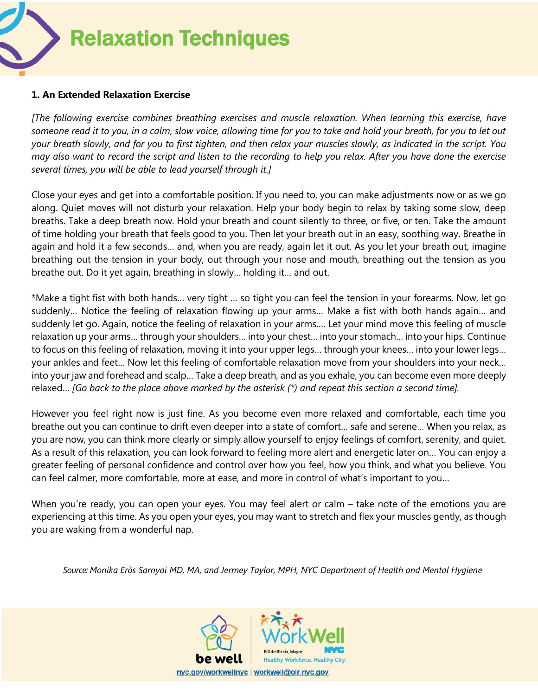Relaxation Techniques

## **1. An Extended Relaxation Exercise**

*[The following exercise combines breathing exercises and muscle relaxation. When learning this exercise, have someone read it to you, in a calm, slow voice, allowing time for you to take and hold your breath, for you to let out your breath slowly, and for you to first tighten, and then relax your muscles slowly, as indicated in the script. You may also want to record the script and listen to the recording to help you relax. After you have done the exercise several times, you will be able to lead yourself through it.]* 

Close your eyes and get into a comfortable position. If you need to, you can make adjustments now or as we go along. Quiet moves will not disturb your relaxation. Help your body begin to relax by taking some slow, deep breaths. Take a deep breath now. Hold your breath and count silently to three, or five, or ten. Take the amount of time holding your breath that feels good to you. Then let your breath out in an easy, soothing way. Breathe in again and hold it a few seconds… and, when you are ready, again let it out. As you let your breath out, imagine breathing out the tension in your body, out through your nose and mouth, breathing out the tension as you breathe out. Do it yet again, breathing in slowly… holding it… and out.

\*Make a tight fist with both hands… very tight … so tight you can feel the tension in your forearms. Now, let go suddenly… Notice the feeling of relaxation flowing up your arms… Make a fist with both hands again… and suddenly let go. Again, notice the feeling of relaxation in your arms.… Let your mind move this feeling of muscle relaxation up your arms… through your shoulders… into your chest… into your stomach… into your hips. Continue to focus on this feeling of relaxation, moving it into your upper legs… through your knees… into your lower legs… your ankles and feet… Now let this feeling of comfortable relaxation move from your shoulders into your neck… into your jaw and forehead and scalp… Take a deep breath, and as you exhale, you can become even more deeply relaxed… *[Go back to the place above marked by the asterisk (\*) and repeat this section a second time].*

However you feel right now is just fine. As you become even more relaxed and comfortable, each time you breathe out you can continue to drift even deeper into a state of comfort… safe and serene… When you relax, as you are now, you can think more clearly or simply allow yourself to enjoy feelings of comfort, serenity, and quiet. As a result of this relaxation, you can look forward to feeling more alert and energetic later on… You can enjoy a greater feeling of personal confidence and control over how you feel, how you think, and what you believe. You can feel calmer, more comfortable, more at ease, and more in control of what's important to you…

When you're ready, you can open your eyes. You may feel alert or calm – take note of the emotions you are experiencing at this time. As you open your eyes, you may want to stretch and flex your muscles gently, as though you are waking from a wonderful nap.

*Source: Monika Erȍs Sarnyai MD, MA, and Jermey Taylor, MPH, NYC Department of Health and Mental Hygiene*

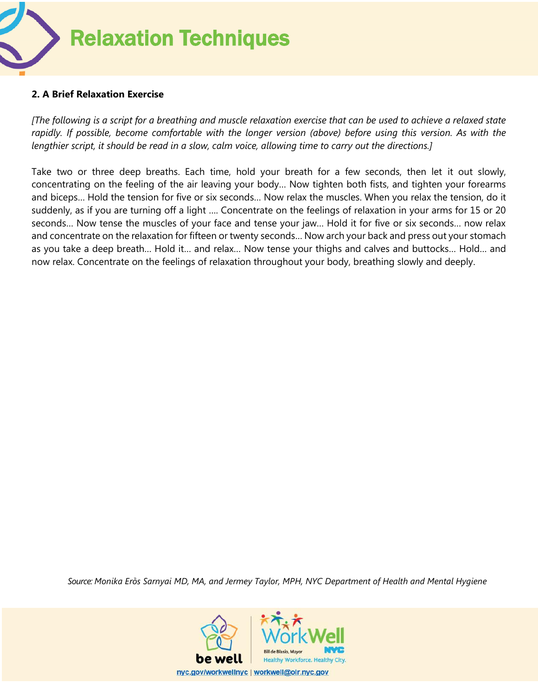

## **2. A Brief Relaxation Exercise**

*[The following is a script for a breathing and muscle relaxation exercise that can be used to achieve a relaxed state rapidly. If possible, become comfortable with the longer version (above) before using this version. As with the lengthier script, it should be read in a slow, calm voice, allowing time to carry out the directions.]* 

Take two or three deep breaths. Each time, hold your breath for a few seconds, then let it out slowly, concentrating on the feeling of the air leaving your body… Now tighten both fists, and tighten your forearms and biceps… Hold the tension for five or six seconds… Now relax the muscles. When you relax the tension, do it suddenly, as if you are turning off a light …. Concentrate on the feelings of relaxation in your arms for 15 or 20 seconds… Now tense the muscles of your face and tense your jaw… Hold it for five or six seconds… now relax and concentrate on the relaxation for fifteen or twenty seconds… Now arch your back and press out your stomach as you take a deep breath… Hold it… and relax… Now tense your thighs and calves and buttocks… Hold… and now relax. Concentrate on the feelings of relaxation throughout your body, breathing slowly and deeply.

*Source: Monika Erȍs Sarnyai MD, MA, and Jermey Taylor, MPH, NYC Department of Health and Mental Hygiene*